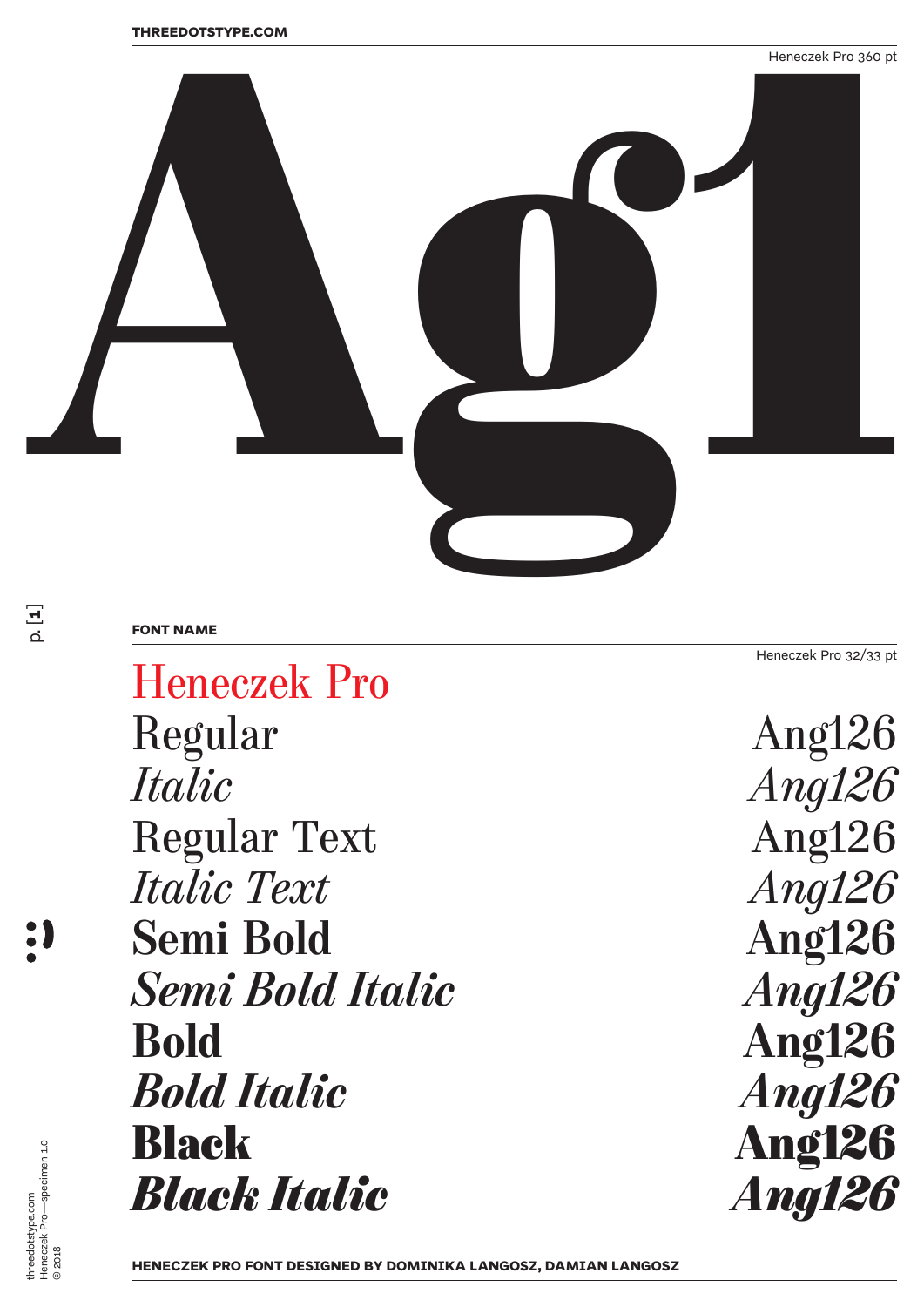

## **FONT NAME**

Heneczek Pro 32/33 pt

Heneczek Pro Regular Ang126<br>Italic Anal26 Regular Text Ang126<br> *Italic Text* Ang126 *Italic Text*<br> **Semi Bold** Ang126 Semi Bold<br>
Semi Bold Italic<br>
Semi Bold Italic<br>
Ang126 *Semi Bold Italic* **Bold** *Bold Italic*<br>**Black** *Black Italic* 

*Ang126*<br>Ang126 Ang126<br>*Ang126* **Ang126**<br>*Ang126* 

 $\frac{1}{\alpha}$ **1**]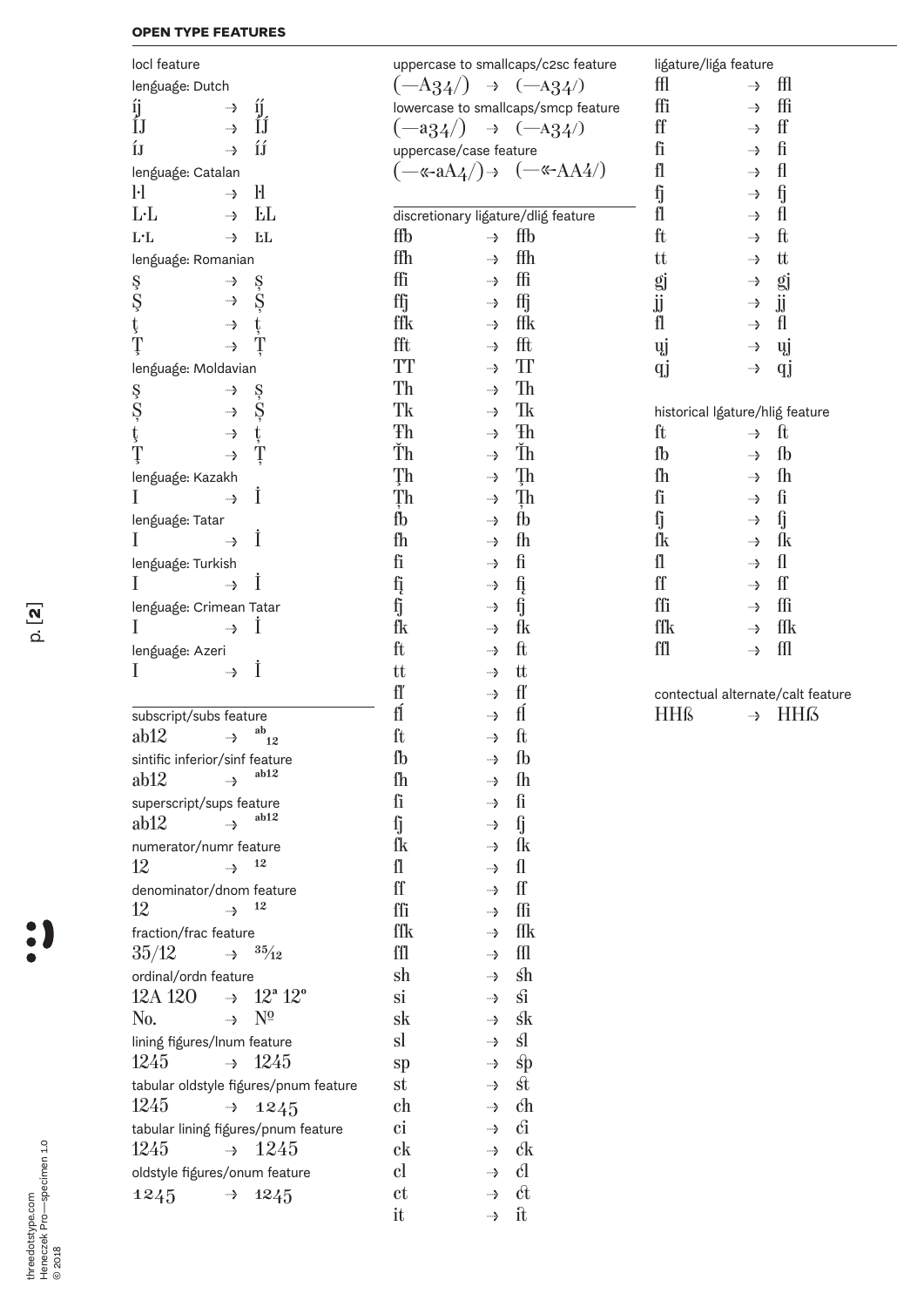## **OPEN TYPE FEATURES**

| locl feature                                             | uppercase to smallcaps/c2sc feature |               |                                       | ligature/liga feature |                                       |  |
|----------------------------------------------------------|-------------------------------------|---------------|---------------------------------------|-----------------------|---------------------------------------|--|
| lenguage: Dutch                                          |                                     |               | $(-A34/)\rightarrow (-A34/)$          | ffl                   | ffl<br>┈>                             |  |
| <b>ij</b><br>—>                                          |                                     |               | lowercase to smallcaps/smcp feature   | ffi                   | ffi<br>→                              |  |
| íj<br>ÍJ<br>ĺĴ<br>—>                                     |                                     |               | $(-a34)$ $\rightarrow$ $(-a34)$       | ff                    | ff<br>┈>                              |  |
| ÍÍ<br>ÍJ<br>—>                                           | uppercase/case feature              |               |                                       | fi                    | ${\rm fi}$<br>—>                      |  |
| lenguage: Catalan                                        |                                     |               | $(-\kappa$ -aA4/) → $(-\kappa$ -AA4/) | fl                    | fl<br>→                               |  |
| $\mathbf{F}$<br>$\mathbf{H}$<br>$\rightarrow$            |                                     |               |                                       | $\mathbf f$           | $\mathfrak f$                         |  |
|                                                          |                                     |               |                                       | fl                    | →                                     |  |
| ĿL<br>$L-L$<br>—>                                        |                                     |               | discretionary ligature/dlig feature   |                       | fl<br>—>                              |  |
| <b>EL</b><br>L·L<br>—>                                   | ffb                                 | $\rightarrow$ | ffb                                   | ft                    | $_{\rm ft}$<br>→                      |  |
| lenguage: Romanian                                       | ffh                                 | ┈>            | ffh                                   | tt                    | tt<br>→                               |  |
| Ş<br>→                                                   | ffi                                 | ┈>            | ffi                                   | gj<br>jj              | gj<br>→                               |  |
| ş<br>Ş<br>Ş<br>→                                         | ffj                                 | —>            | ffj                                   |                       | jj<br>$\rightarrow$                   |  |
| ţ<br>ţ<br>→                                              | ffk                                 | ┈>            | ffk                                   | fl                    | fl<br>—>                              |  |
| Ţ<br>Ţ<br>—>                                             | fft                                 | —>            | fft                                   | ųj                    | ųj<br>→                               |  |
| lenguage: Moldavian                                      | <b>TT</b>                           | ┈>            | $\mathop{\mathrm{TI}}$                | qj                    | qj<br>→                               |  |
| →                                                        | Th                                  | ┈>            | Th                                    |                       |                                       |  |
| ş<br>Ş<br>ţ<br>ş<br>Ş                                    | Tk                                  | ┈>            | Tk                                    |                       |                                       |  |
| →                                                        | Ŧh                                  |               | Ŧh                                    |                       | historical Igature/hlig feature       |  |
| ţ<br>→                                                   |                                     | →             |                                       | ft                    | $\mathbf{f}$<br>--->                  |  |
| Ţ<br>Ţ<br>→                                              | Ťh                                  | ┈>            | Ťh                                    | fb                    | $\mathbf{f}_b$<br>→                   |  |
| lenguage: Kazakh                                         | Ţh                                  | ┈>            | Ţh                                    | fh                    | $\mathbf{f}_h$<br>—>                  |  |
| Ι<br>┈→                                                  | Ţh                                  | ┈>            | Ţh                                    | ſi                    | $\mathbf f$<br>-->                    |  |
| lenguage: Tatar                                          | fb                                  | ┈>            | fb                                    | ſj                    | ſj<br>→                               |  |
| İ<br>—>                                                  | fh                                  | ┈>            | fh                                    | ſk                    | ſk<br>┈>                              |  |
| lenguage: Turkish                                        | fi                                  | ┈>            | ${\rm fi}$                            | $\mathbf{f}$          | $\mathbf{u}$<br>→                     |  |
| İ<br>→                                                   | fį                                  | —>            | $\mathop{\rm f}\nolimits_{\xi}$       | ff                    | ff<br>—>                              |  |
|                                                          | fj                                  | ┈>            | $\overline{\mathfrak{f}}$             | ffi                   | ffi<br>—>                             |  |
| lenguage: Crimean Tatar<br>Ι                             |                                     |               |                                       |                       | ffk                                   |  |
| ┈→                                                       | fk                                  | →             | fk                                    | ffk                   | →                                     |  |
| lenguage: Azeri                                          | ft                                  | —>            | $_{\rm ft}$                           | ffl                   | $f\left( \frac{1}{2} \right)$<br>---> |  |
| İ<br>I<br>—>                                             | tt                                  | —>            | tt                                    |                       |                                       |  |
|                                                          | fľ                                  | →             | fľ                                    |                       | contectual alternate/calt feature     |  |
| subscript/subs feature                                   | fĺ                                  | →             | fĺ                                    | <b>HHß</b>            | <b>HHß</b><br>—>                      |  |
| ab<br>ab12<br>→<br>12                                    | ft                                  | ┈>            | $\mathbf{f}$                          |                       |                                       |  |
| sintific inferior/sinf feature                           | $\rm fb$                            | →             | ${\rm fb}$                            |                       |                                       |  |
| ab12<br>ab12<br>--->                                     | fh                                  | ---->         | fh                                    |                       |                                       |  |
| superscript/sups feature                                 | ſi                                  | ┈→            | $\mathbf f$                           |                       |                                       |  |
| ab12<br>ab12<br>┈→                                       | ſj                                  | $\rightarrow$ | ſj                                    |                       |                                       |  |
|                                                          | ſk                                  |               |                                       |                       |                                       |  |
| numerator/numr feature                                   |                                     | ┈>            | ſk                                    |                       |                                       |  |
| $\rightarrow$ 12<br>12                                   | $\mathbf f$                         | ┈→            | $\mathbf{f}$                          |                       |                                       |  |
| denominator/dnom feature                                 | ff                                  | ┈→            | ff                                    |                       |                                       |  |
| 12<br>12                                                 | ffi                                 | ┈→            | ffi                                   |                       |                                       |  |
| fraction/frac feature                                    | ffk                                 | ┈→            | ffk                                   |                       |                                       |  |
| 35/12<br>$\rightarrow$ $\frac{35}{12}$                   | ffl                                 | ┈→            | $f\left( \frac{1}{2} \right)$         |                       |                                       |  |
| ordinal/ordn feature                                     | $\sh$                               | $\rightarrow$ | $\sin$                                |                       |                                       |  |
| $\rightarrow$ 12 <sup>a</sup> 12 <sup>o</sup><br>12A 12O | si                                  | ┈→            | $\mathbf{S}$                          |                       |                                       |  |
| $N^{\underline{0}}$<br>No.<br>┈→                         | sk                                  | ┈→            | <b>sk</b>                             |                       |                                       |  |
| lining figures/Inum feature                              | sl                                  | ---->         | sl.                                   |                       |                                       |  |
| 1245<br>$\rightarrow$ 1245                               |                                     |               |                                       |                       |                                       |  |
|                                                          | sp                                  | $\rightarrow$ | $\mathbf{s}$ $\mathbf{p}$             |                       |                                       |  |
| tabular oldstyle figures/pnum feature                    | st                                  | —>            | $\operatorname*{st}$                  |                       |                                       |  |
| 1245<br>$\rightarrow$ 1245                               | ch                                  | —>            | $ch$                                  |                       |                                       |  |
| tabular lining figures/pnum feature                      | <sub>ci</sub>                       | ┈→            | $\mathbf{G}$                          |                       |                                       |  |
| 1245<br>1245<br>$\rightarrow$                            | $_{\rm c k}$                        | ┈→            | $\mathcal{C}$ k                       |                       |                                       |  |
| oldstyle figures/onum feature                            | $_{\rm cl}$                         | ---->         | $\mathfrak{c}$                        |                       |                                       |  |
| 1245<br>1245<br>$\rightarrow$                            | <sub>c</sub> t                      | →             | $\alpha$                              |                       |                                       |  |
|                                                          | it                                  | $\rightarrow$ | $\mathbf{\hat{n}}$                    |                       |                                       |  |
|                                                          |                                     |               |                                       |                       |                                       |  |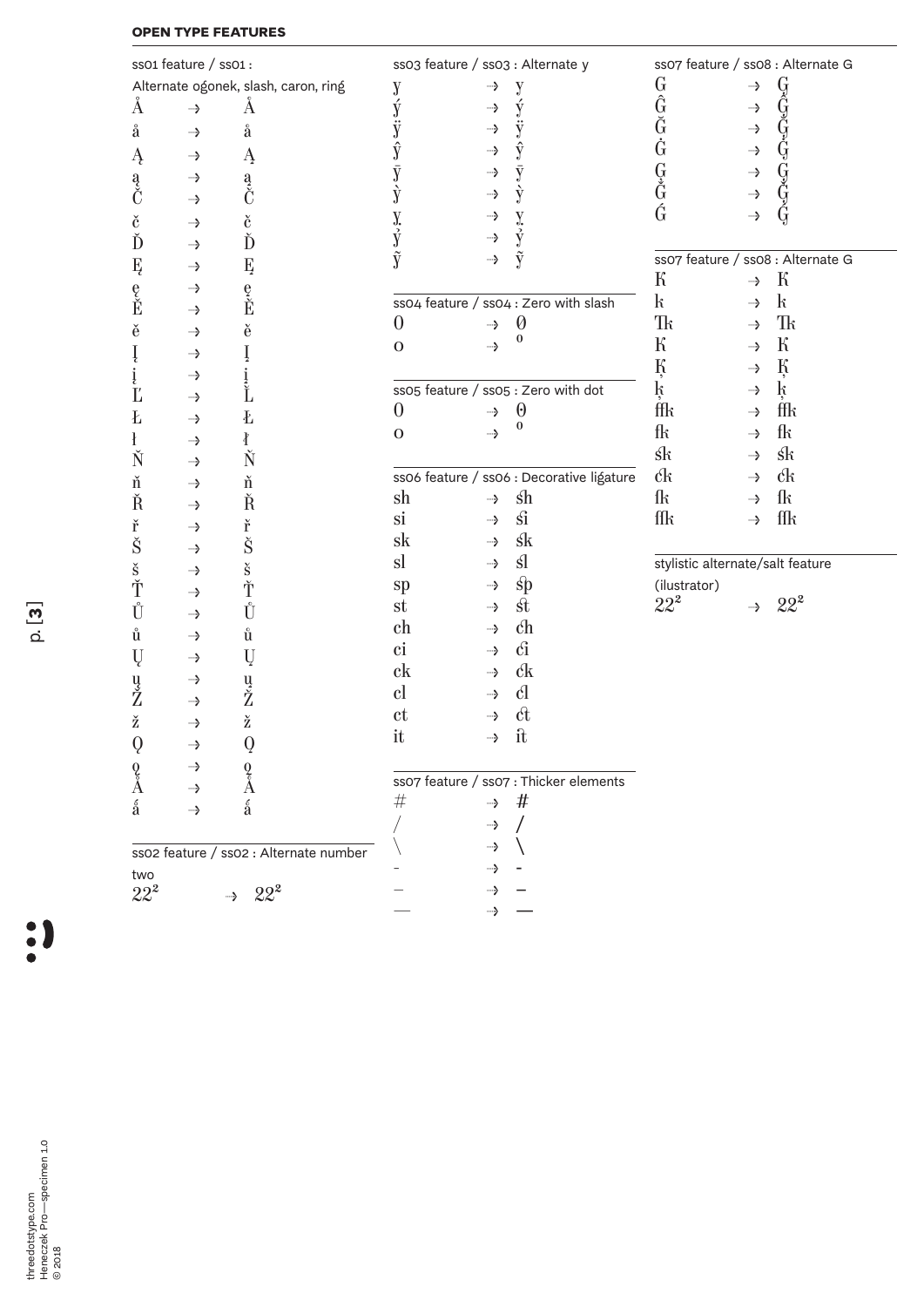## **OPEN TYPE FEATURES**

|                           | ss01 feature / ss01 : |                                        | ss03 feature / ss03 : Alternate y |               |                                                 | ss07 feature / ss08 : Alternate G                                                                                                   |               |                                                                                                                                     |
|---------------------------|-----------------------|----------------------------------------|-----------------------------------|---------------|-------------------------------------------------|-------------------------------------------------------------------------------------------------------------------------------------|---------------|-------------------------------------------------------------------------------------------------------------------------------------|
|                           |                       | Alternate ogonek, slash, caron, ring   | y                                 | ┈>            | y                                               |                                                                                                                                     | →             |                                                                                                                                     |
| Å                         | →                     | Å                                      |                                   | →             |                                                 |                                                                                                                                     | →             |                                                                                                                                     |
| å                         | —>                    | å                                      |                                   | →             |                                                 |                                                                                                                                     | $\rightarrow$ |                                                                                                                                     |
| Ą                         | →                     | Ą                                      |                                   | —>            | ŷ                                               |                                                                                                                                     | $\rightarrow$ |                                                                                                                                     |
|                           | →                     |                                        | $\bar{\rm y}$                     | →             |                                                 |                                                                                                                                     | $\rightarrow$ |                                                                                                                                     |
| a<br>Č                    | ┈>                    | a<br>Č                                 | ý                                 | —>            | ý                                               | GĜĞĠGĞĞ                                                                                                                             | $\rightarrow$ |                                                                                                                                     |
|                           |                       |                                        |                                   | ┈>            |                                                 |                                                                                                                                     | $\rightarrow$ | GĜGGGGGGG                                                                                                                           |
| $\check{\mathrm{c}}$<br>Ď | —>                    | $\check{\mathrm{c}}$<br>Ď              | y<br>y                            | $\rightarrow$ | y<br>y                                          |                                                                                                                                     |               |                                                                                                                                     |
|                           | —>                    |                                        | ŷ                                 | →             | ŷ                                               | ss07 feature / ss08 : Alternate G                                                                                                   |               |                                                                                                                                     |
| Ę                         | →                     | Ę                                      |                                   |               |                                                 | К                                                                                                                                   | →             | К                                                                                                                                   |
| $\frac{e}{\tilde{E}}$     | ┈>                    | e<br>Ě                                 |                                   |               | ss04 feature / ss04 : Zero with slash           | $\mathbf{k}$                                                                                                                        | →             | $\mathbf{k}$                                                                                                                        |
|                           | —>                    |                                        | $\theta$                          | →             | $\boldsymbol{\varnothing}$                      | Tk                                                                                                                                  | --->          | $\hbox{Tr}$                                                                                                                         |
| ě                         | →                     | ě                                      | 0                                 | →             | 0                                               | ${\bf k}$                                                                                                                           | →             | ${\bf k}$                                                                                                                           |
| Į                         | →                     |                                        |                                   |               |                                                 | Ķ                                                                                                                                   |               | Ķ                                                                                                                                   |
| į                         | ┈>                    | i<br>Ľ                                 |                                   |               |                                                 |                                                                                                                                     | →             | $\mathbf{k}$                                                                                                                        |
| $\mathbf{L}'$             | ┈>                    |                                        | $\theta$                          |               | ss05 feature / ss05 : Zero with dot<br>$\Theta$ | ķ<br>ffk                                                                                                                            | →             | ffk                                                                                                                                 |
| Ł                         | —>                    | Ł                                      |                                   | —>            | 0                                               | fk                                                                                                                                  | ⊸>            | fk                                                                                                                                  |
| $\mathbf{f}$              | ┈>                    | ł                                      | $\mathbf{O}$                      | →             |                                                 |                                                                                                                                     | →             |                                                                                                                                     |
| Ň                         | —>                    | Ň                                      |                                   |               |                                                 | $\operatorname*{sk}% \nolimits_{\mathbb{Z}}\left( \mathbb{Z}^{\Sigma\left( 1\right) }% ,\mathbb{Z}^{\Sigma\left( 2\right) }\right)$ | →             | $\operatorname*{sk}% \nolimits_{\mathbb{Z}}\left( \mathbb{Z}^{\Sigma\left( 1\right) }% ,\mathbb{Z}^{\Sigma\left( 2\right) }\right)$ |
| ň                         | —>                    | ň                                      |                                   |               | ss06 feature / ss06 : Decorative ligature       | $\mathcal{C}$ k                                                                                                                     | →             | $\mathcal{C}$ k                                                                                                                     |
| Ř                         | —>                    | Ř                                      | sh                                | $\rightarrow$ | $\operatorname{sh}$                             | ſk                                                                                                                                  | →             | ſk                                                                                                                                  |
| ř                         | ┈>                    | ř                                      | <sub>si</sub>                     | —>            | $\hat{\rm{Si}}$                                 | $\operatorname{f\!f\!f}$                                                                                                            | --->          | $\operatorname{f\!f\!}$                                                                                                             |
| Š                         | ┈>                    | Š                                      | sk                                | ⊸>            | $\mathsf{sk}$                                   |                                                                                                                                     |               |                                                                                                                                     |
| $\check{\mathbf{s}}$      | —>                    | $\check{\mathbf{s}}$                   | sl                                | ┈>            | $\mathbf{sl}$                                   | stylistic alternate/salt feature                                                                                                    |               |                                                                                                                                     |
| Ť                         | ┈>                    | Ť                                      | sp                                | —>            | $\text{sp}$                                     | (ilustrator)                                                                                                                        |               |                                                                                                                                     |
| Ů                         | ┈>                    | Ů                                      | st                                | ⊸>            | $\operatorname*{st}$                            | $22^2$                                                                                                                              | ┈>            | $22^2$                                                                                                                              |
| ů                         | —>                    | ů                                      | ch                                | →             | $\mathbf{c}$ h                                  |                                                                                                                                     |               |                                                                                                                                     |
| Ų                         | ┈>                    | Ų                                      | $\mathbf{ci}$                     | —>            | $\hat{\text{Cl}}$                               |                                                                                                                                     |               |                                                                                                                                     |
|                           | ┈>                    |                                        | $_{\rm c k}$                      | ⊸>            | $\mathcal{C}$ k                                 |                                                                                                                                     |               |                                                                                                                                     |
| u<br>Ž                    | —>                    | u<br>Ž                                 | $_{\rm cl}$                       | ┈>            | $\mathcal{C}$                                   |                                                                                                                                     |               |                                                                                                                                     |
| ž                         | —>                    | ž                                      | ct                                | ┈>            | $\hat{\alpha}$                                  |                                                                                                                                     |               |                                                                                                                                     |
| $\boldsymbol{Q}$          | —>                    | $\bf{Q}$                               | it                                | →             | $\mathbf{\hat{n}}$                              |                                                                                                                                     |               |                                                                                                                                     |
|                           | ┈>                    |                                        |                                   |               |                                                 |                                                                                                                                     |               |                                                                                                                                     |
| $^0_{\mathring{A}}$       |                       | $^0_{\mathring{A}}$                    |                                   |               | ss07 feature / ss07 : Thicker elements          |                                                                                                                                     |               |                                                                                                                                     |
| $\acute{\text{a}}$        | →<br>→                | á                                      | $\#$                              | $\rightarrow$ | #                                               |                                                                                                                                     |               |                                                                                                                                     |
|                           |                       |                                        |                                   | ┈>            |                                                 |                                                                                                                                     |               |                                                                                                                                     |
|                           |                       |                                        |                                   | →             |                                                 |                                                                                                                                     |               |                                                                                                                                     |
|                           |                       | sso2 feature / sso2 : Alternate number |                                   | ┈>            |                                                 |                                                                                                                                     |               |                                                                                                                                     |
| two<br>$22^2$             |                       | $\rightarrow$ 22 <sup>2</sup>          |                                   | ┈>            |                                                 |                                                                                                                                     |               |                                                                                                                                     |
|                           |                       |                                        |                                   | —>            |                                                 |                                                                                                                                     |               |                                                                                                                                     |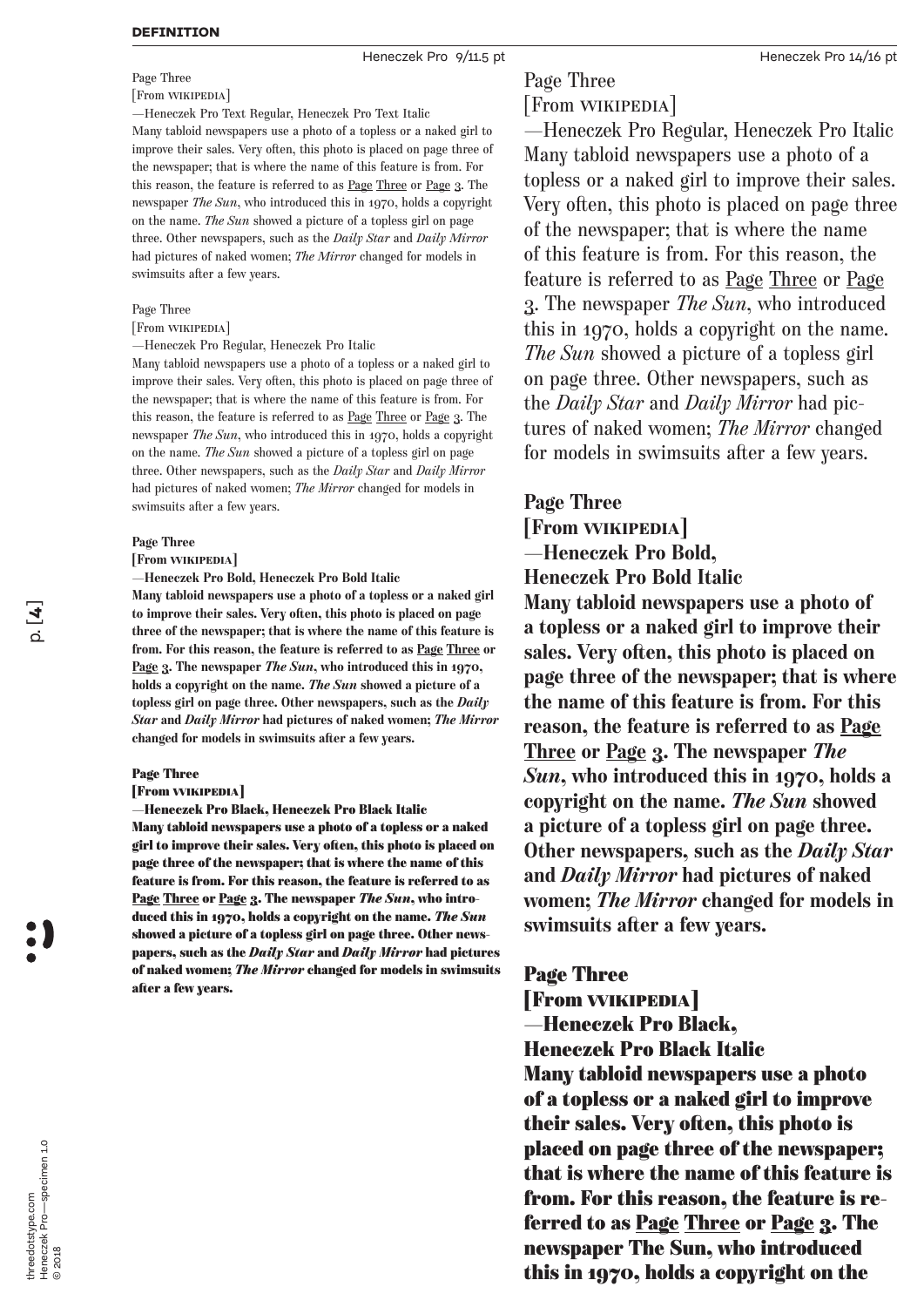#### **DEFINITION**

Heneczek Pro 9/11.5 pt **Heneczek Pro 14/16 pt** Heneczek Pro 14/16 pt

### Page Three

#### [From Wikipedia]

—Heneczek Pro Text Regular, Heneczek Pro Text Italic

Many tabloid newspapers use a photo of a topless or a naked girl to improve their sales. Very often, this photo is placed on page three of the newspaper; that is where the name of this feature is from. For this reason, the feature is referred to as Page Three or Page 3. The newspaper *The Sun*, who introduced this in 1970, holds a copyright on the name. *The Sun* showed a picture of a topless girl on page three. Other newspapers, such as the *Daily Star* and *Daily Mirror* had pictures of naked women; *The Mirror* changed for models in swimsuits after a few years.

#### Page Three

[From WIKIPEDIA]

—Heneczek Pro Regular, Heneczek Pro Italic

Many tabloid newspapers use a photo of a topless or a naked girl to improve their sales. Very often, this photo is placed on page three of the newspaper; that is where the name of this feature is from. For this reason, the feature is referred to as Page Three or Page 3. The newspaper *The Sun*, who introduced this in 1970, holds a copyright on the name. *The Sun* showed a picture of a topless girl on page three. Other newspapers, such as the *Daily Star* and *Daily Mirror* had pictures of naked women; *The Mirror* changed for models in swimsuits after a few years.

#### **Page Three**

**[From Wikipedia]** 

**—Heneczek Pro Bold, Heneczek Pro Bold Italic Many tabloid newspapers use a photo of a topless or a naked girl to improve their sales. Very often, this photo is placed on page three of the newspaper; that is where the name of this feature is from. For this reason, the feature is referred to as Page Three or Page 3. The newspaper** *The Sun***, who introduced this in 1970, holds a copyright on the name.** *The Sun* **showed a picture of a topless girl on page three. Other newspapers, such as the** *Daily Star* **and** *Daily Mirror* **had pictures of naked women;** *The Mirror* **changed for models in swimsuits after a few years.**

#### Page Three

#### [From Wikipedia]

—Heneczek Pro Black, Heneczek Pro Black Italic Many tabloid newspapers use a photo of a topless or a naked girl to improve their sales. Very often, this photo is placed on page three of the newspaper; that is where the name of this feature is from. For this reason, the feature is referred to as Page Three or Page 3. The newspaper *The Sun*, who introduced this in 1970, holds a copyright on the name. *The Sun* showed a picture of a topless girl on page three. Other newspapers, such as the *Daily Star* and *Daily Mirror* had pictures of naked women; *The Mirror* changed for models in swimsuits after a few years.

# Page Three

## [From Wikipedia]

—Heneczek Pro Regular, Heneczek Pro Italic Many tabloid newspapers use a photo of a topless or a naked girl to improve their sales. Very often, this photo is placed on page three of the newspaper; that is where the name of this feature is from. For this reason, the feature is referred to as Page Three or Page 3. The newspaper *The Sun*, who introduced this in 1970, holds a copyright on the name. *The Sun* showed a picture of a topless girl on page three. Other newspapers, such as the *Daily Star* and *Daily Mirror* had pictures of naked women; *The Mirror* changed for models in swimsuits after a few years.

### **Page Three**

**[From Wikipedia] —Heneczek Pro Bold,** 

**Heneczek Pro Bold Italic**

**Many tabloid newspapers use a photo of a topless or a naked girl to improve their sales. Very often, this photo is placed on page three of the newspaper; that is where the name of this feature is from. For this reason, the feature is referred to as Page Three or Page 3. The newspaper** *The Sun***, who introduced this in 1970, holds a copyright on the name.** *The Sun* **showed a picture of a topless girl on page three. Other newspapers, such as the** *Daily Star* **and** *Daily Mirror* **had pictures of naked women;** *The Mirror* **changed for models in swimsuits after a few years.**

## Page Three

[From Wikipedia]

—Heneczek Pro Black,

Heneczek Pro Black Italic

Many tabloid newspapers use a photo of a topless or a naked girl to improve their sales. Very often, this photo is placed on page three of the newspaper; that is where the name of this feature is from. For this reason, the feature is referred to as Page Three or Page 3. The newspaper The Sun, who introduced this in 1970, holds a copyright on the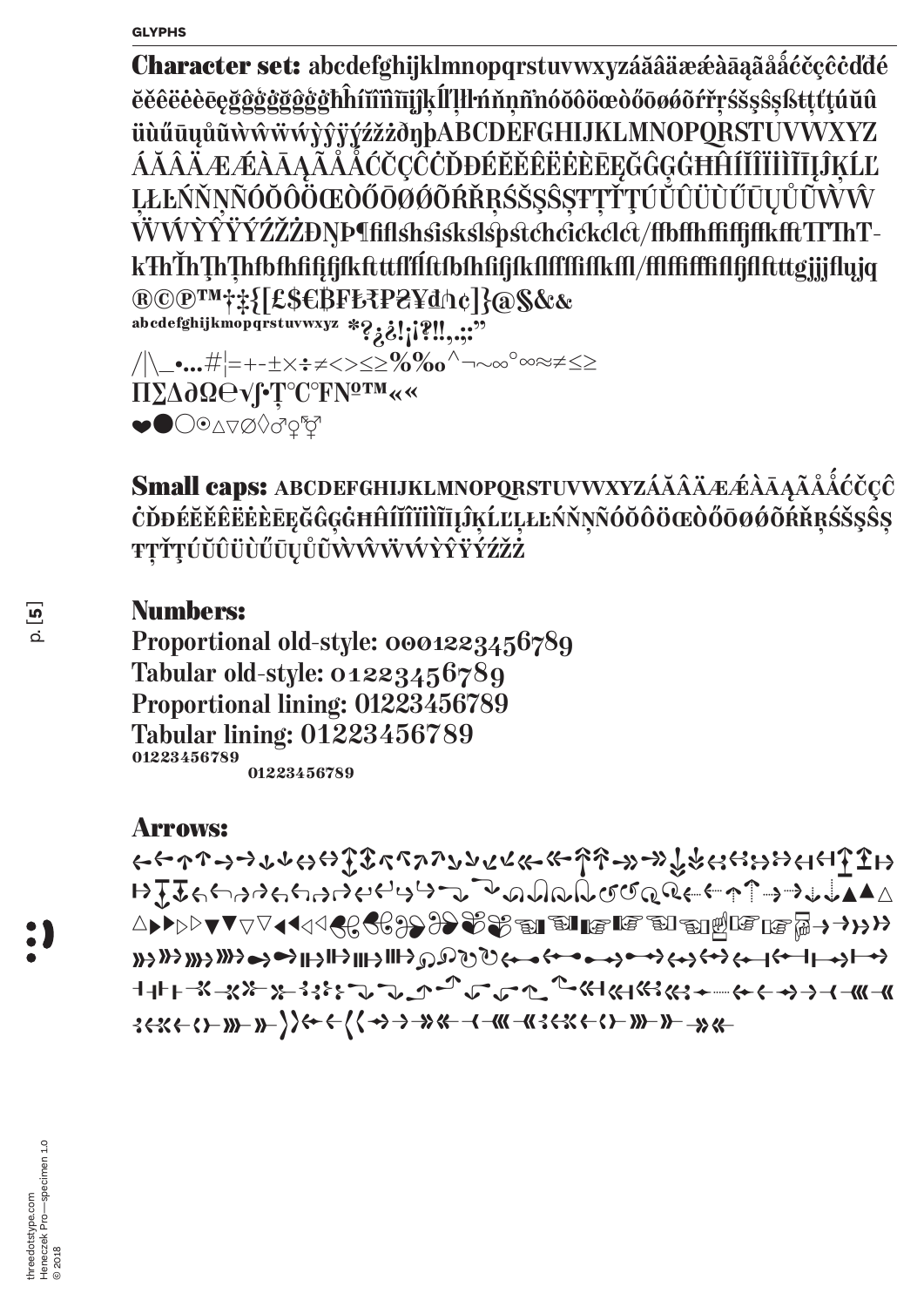Character set: abcdefghijklmnopqrstuvwxyzáăâäææàāaaãååćčçĉċddé ĕěêëėèēęğĝġġġġġġħĥíĭîîîīījĵķĺľļłŀńňņñnóŏôöœòőōøǿõŕřŗśšşŝşßŧţťţúŭû üùűūųůūwŵŵwyŷÿýźžżðŋþABCDEFGHIJKLMNOPQRSTUVWXYZ ÁĂÂÄÆÆÀĀĄĂĂĂĆČÇĈĊĎĐÉĔĚÊĖĖÈĒĘĞĜĢĠĦĤÍĬĨĨĬĨĨĪĮĴĶĹĽ ĻŁĿŃŇŅÑÓŎÔÖŒÒŐŌØŐŔŘŖŚŠŞŜŞŦŢŤŢÚŮŮÜŨŨŨŲŮŨŴŴ ŴŴŶŶŸÝŹŽŻĐŊÞ¶fiflshsiskslspstchcickclct/ffbffhffffffkfftTTThTkŦhŤhŢhŢhfbfhfifjfkftttflÍftfbfhfifjfkflffffffkffl/fflffffffffffftttgjjjflyjq ®©®™†#{[£\$€BF₺₹P₴¥d^c]}@\$&& abcdefghijkmopqrstuvwxyz \*?; ?!; [?!!,...?? ΠΣΔ∂ΩΘνΓΓ<sup>ο</sup>Γ<sup>ο</sup>ΓΡΝΩ<sup>ΓΜ</sup>«« ◆●○◎△▽∅◇♂♀☆

Small caps: ABCDEFGHIJKLMNOPQRSTUVWXYZÁĂÂÄÆÆÂĀĄÃÅÅĆČÇĈ ĊĎĐÉĔĔĔĒĖĖĒĘĞĜĢĠĦĤÍĬĨĬĨĬĨIJĴĶĹĽĻŁĿŃŇŅÑÓŎÔÖŒÒŐŌØŐŔŘŖŚŠŞŜŞ ŦŢŤŢÚŬÛÜÙŰŪŲŮŨŴŴŴŴŶŶŸŹŹŹ

## **Numbers:**

Proportional old-style: 0001223456789 Tabular old-style: 01223456789 Proportional lining: 01223456789 Tabular lining: 01223456789 01223456789 01223456789

## **Arrows:**

 $\mapsto \overline{f} \cdot \overline{f} \cdot \overline{f} \cdot \overline{f} \cdot \overline{f} \cdot \overline{f} \cdot \overline{f} \cdot \overline{f} \cdot \overline{f} \cdot \overline{f} \cdot \overline{f} \cdot \overline{f} \cdot \overline{f} \cdot \overline{f} \cdot \overline{f} \cdot \overline{f} \cdot \overline{f} \cdot \overline{f} \cdot \overline{f} \cdot \overline{f} \cdot \overline{f} \cdot \overline{f} \cdot \overline{f} \cdot \overline{f} \cdot \overline{f} \cdot \overline{f} \cdot \overline{f} \cdot \$  $36356$  -  $(1 - 11)$  -  $(1 - 13)$  -  $(1 - 11)$  -  $(1 - 11)$  -  $(1 - 11)$  -  $(1 - 11)$  -  $(1 - 11)$  -  $(1 - 11)$  -  $(1 - 11)$  -  $(1 - 11)$  -  $(1 - 11)$  -  $(1 - 11)$  -  $(1 - 11)$  -  $(1 - 11)$  -  $(1 - 11)$  -  $(1 - 11)$  -  $(1 - 11)$  -  $(1 - 11$